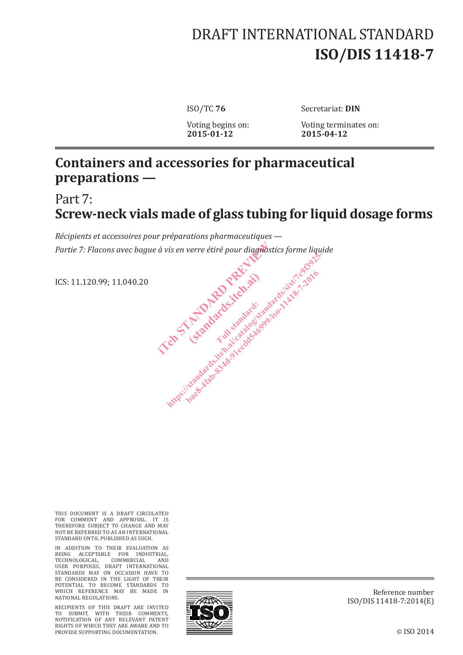# DRAFT INTERNATIONAL STANDARD **ISO/DIS 11418-7**

ISO/TC **76** Secretariat: **DIN**

Voting begins on: Voting terminates on:<br>2015-01-12 2015-04-12 **2015-01-12 2015-04-12**

**Containers and accessories for pharmaceutical preparations —**

# Part 7: **Screw-neck vials made of glass tubing for liquid dosage forms**

(Standards.iteh.as)

*Récipients et accessoires pour préparations pharmaceutiques — Partie 7: Flacons avec bague à vis en verre étiré pour diagnostics forme liquide* d vis en verre étiré pour diagnostics https://standards.iteh.ai/catalogg/sistem.catalogg/sist/2016/91915

ICS: 11.120.99; 11.040.20

THIS DOCUMENT IS A DRAFT CIRCULATED FOR COMMENT AND APPROVAL. IT IS THEREFORE SUBJECT TO CHANGE AND MAY NOT BE REFERRED TO AS AN INTERNATIONAL STANDARD UNTIL PUBLISHED AS SUCH.

IN ADDITION TO THEIR EVALUATION AS BEING ACCEPTABLE FOR INDUSTRIAL, TECHNOLOGICAL, COMMERCIAL AND USER PURPOSES, DRAFT INTERNATIONAL STANDARDS MAY ON OCCASION HAVE TO BE CONSIDERED IN THE LIGHT OF THEIR POTENTIAL TO BECOME STANDARDS TO WHICH REFERENCE MAY BE MADE IN NATIONAL REGULATIONS.

RECIPIENTS OF THIS DRAFT ARE INVITED TO SUBMIT, WITH THEIR COMMENTS, NOTIFICATION OF ANY RELEVANT PATENT RIGHTS OF WHICH THEY ARE AWARE AND TO PROVIDE SUPPORTING DOCUMENTATION.



Reference number ISO/DIS 11418-7:2014(E)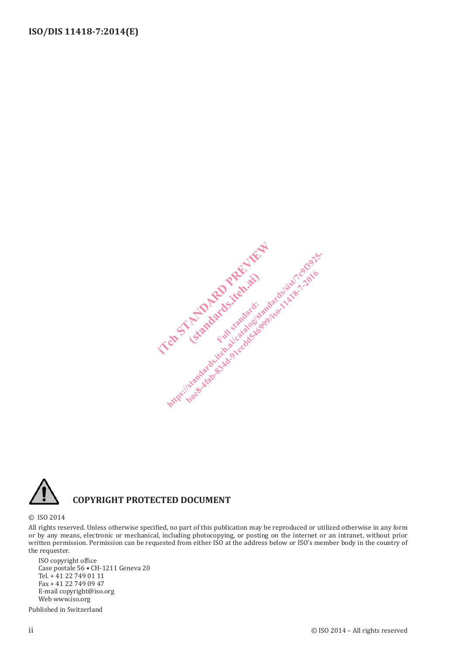



## **COPYRIGHT PROTECTED DOCUMENT**

© ISO 2014

All rights reserved. Unless otherwise specified, no part of this publication may be reproduced or utilized otherwise in any form or by any means, electronic or mechanical, including photocopying, or posting on the internet or an intranet, without prior written permission. Permission can be requested from either ISO at the address below or ISO's member body in the country of the requester.

ISO copyright office Case postale 56 • CH-1211 Geneva 20 Tel. + 41 22 749 01 11 Fax + 41 22 749 09 47 E-mail copyright@iso.org Web www.iso.org

Published in Switzerland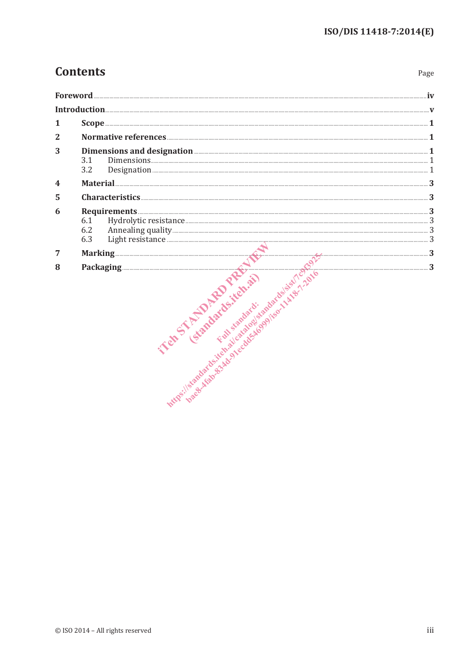Page

# **Contents**

|                | Foreword                                                                                                                                                                                                                      |  |
|----------------|-------------------------------------------------------------------------------------------------------------------------------------------------------------------------------------------------------------------------------|--|
|                |                                                                                                                                                                                                                               |  |
| $\mathbf{1}$   |                                                                                                                                                                                                                               |  |
| $\overline{2}$ |                                                                                                                                                                                                                               |  |
| 3              | Dimensions and designation <b>Executive Contract 2</b><br>3.1<br>3.2                                                                                                                                                          |  |
| 4              |                                                                                                                                                                                                                               |  |
| 5              |                                                                                                                                                                                                                               |  |
| 6              | 6.1<br>6.2<br>6.3                                                                                                                                                                                                             |  |
| 7              |                                                                                                                                                                                                                               |  |
| 8              | Backaging Marking and the Marking of the Marking of the Marking of the Marking and the Marking of the Marking of the Marking of the Marking of the Marking of the Marking of the Marking of the Marking of the Marking of the |  |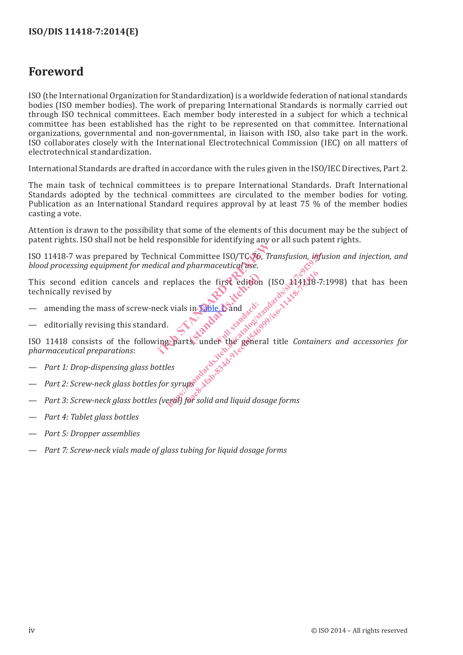## **Foreword**

ISO (the International Organization for Standardization) is a worldwide federation of national standards bodies (ISO member bodies). The work of preparing International Standards is normally carried out through ISO technical committees. Each member body interested in a subject for which a technical committee has been established has the right to be represented on that committee. International organizations, governmental and non-governmental, in liaison with ISO, also take part in the work. ISO collaborates closely with the International Electrotechnical Commission (IEC) on all matters of electrotechnical standardization.

International Standards are drafted in accordance with the rules given in the ISO/IEC Directives, Part 2.

The main task of technical committees is to prepare International Standards. Draft International Standards adopted by the technical committees are circulated to the member bodies for voting. Publication as an International Standard requires approval by at least 75 % of the member bodies casting a vote.

Attention is drawn to the possibility that some of the elements of this document may be the subject of patent rights. ISO shall not be held responsible for identifying any or all such patent rights.

ISO 11418-7 was prepared by Technical Committee ISO/TC 76, *Transfusion, infusion and injection, and blood processing equipment for medical and pharmaceutical use*. ind and pharmaceutical use.<br>I replaces the first edition (ISO, the price of the first edition (ISO, the price of the price of the price of the part of the part of the general title

This second edition cancels and replaces the first edition (ISO 114118-7:1998) that has been technically revised by es the first edition

- amending the mass of screw-neck vials in Table 1, and
- editorially revising this standard.

ISO 11418 consists of the following parts, under the general title *Containers and accessories for pharmaceutical preparations*: cal Committee ISO/TC26, Transfusion, infused<br>if and pharmaceutical use.<br>eplaces the first edition (ISO, 11418-7:<br>c vials in Table 1 and axis in the second 148-2<br>standards the general title Container<br>examples the second int

- *Part 1: Drop-dispensing glass bottles*
- *Part 2: Screw-neck glass bottles for syrups*
- *Part 3: Screw-neck glass bottles (veral) for solid and liquid dosage forms*
- *Part 4: Tablet glass bottles*
- *Part 5: Dropper assemblies*
- *Part 7: Screw-neck vials made of glass tubing for liquid dosage forms*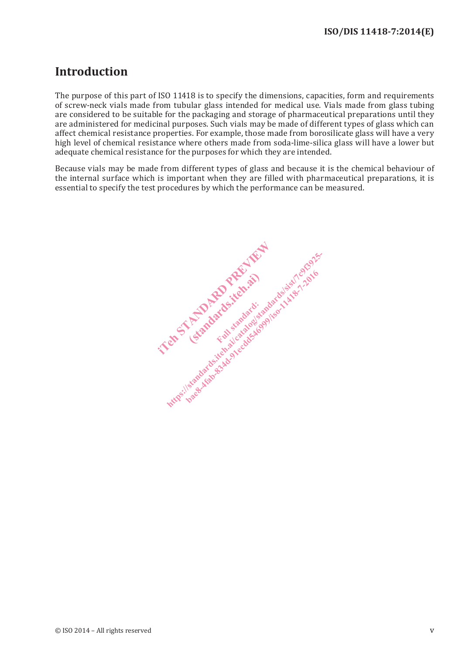## **ISO/DIS 11418-7:2014(E)**

## **Introduction**

The purpose of this part of ISO 11418 is to specify the dimensions, capacities, form and requirements of screw-neck vials made from tubular glass intended for medical use. Vials made from glass tubing are considered to be suitable for the packaging and storage of pharmaceutical preparations until they are administered for medicinal purposes. Such vials may be made of different types of glass which can affect chemical resistance properties. For example, those made from borosilicate glass will have a very high level of chemical resistance where others made from soda-lime-silica glass will have a lower but adequate chemical resistance for the purposes for which they are intended.

Because vials may be made from different types of glass and because it is the chemical behaviour of the internal surface which is important when they are filled with pharmaceutical preparations, it is essential to specify the test procedures by which the performance can be measured.

in Standard Preview of the Mail of the Main College of the Main College of the Main College of the Main College of the Main College of the Main College of the Main College of the Main College of the Main College of the Mai (Standards.iteh.as) https://standards.iteh.ai/catalogg/sistem.catalogg/sist/2016/5/3016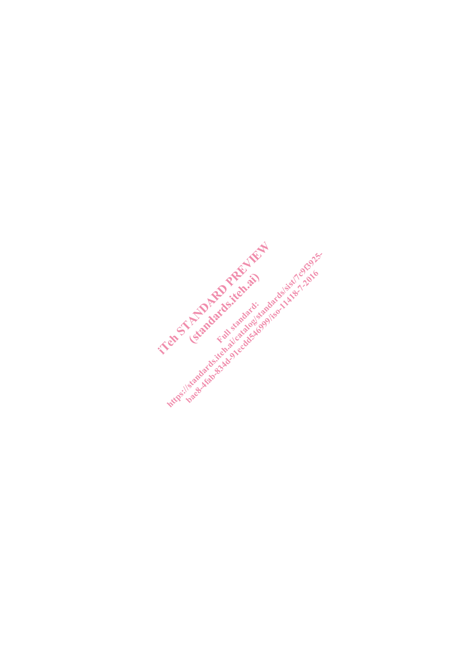IT IS TO BOOK OF THE REAL OF CONSTRAINING A STRAIN OF THE REAL OF THE REAL OF THE REAL OF THE REAL OF THE REAL OF THE REAL OF THE REAL OF THE REAL OF THE REAL OF THE REAL OF THE REAL OF THE REAL OF THE REAL OF THE REAL OF Tem of A Property is an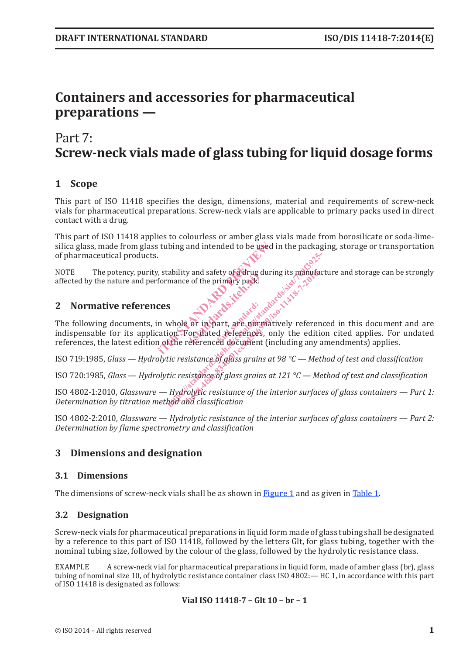## **Containers and accessories for pharmaceutical preparations —**

## Part 7: **Screw-neck vials made of glass tubing for liquid dosage forms**

## **1 Scope**

This part of ISO 11418 specifies the design, dimensions, material and requirements of screw-neck vials for pharmaceutical preparations. Screw-neck vials are applicable to primary packs used in direct contact with a drug.

This part of ISO 11418 applies to colourless or amber glass vials made from borosilicate or soda-limesilica glass, made from glass tubing and intended to be used in the packaging, storage or transportation of pharmaceutical products.

NOTE The potency, purity, stability and safety of a drug during its manufacture and storage can be strongly affected by the nature and performance of the primary pack.

### **2 Normative references**

The following documents, in whole or in part, are normatively referenced in this document and are indispensable for its application. For dated references, only the edition cited applies. For undated references, the latest edition of the referenced document (including any amendments) applies. is tubing and intended to be used in the stability and safety of a drug during if formance of the primary pack. Ful start of the primary pack. tability and safety of a drug during its manufact<br>mance of the primary pack!<br>S<br>S<br>whole or in part, are mormalively reference<br>ion. For dated references, only the edition<br>of the referenced document (including any are<br>tic re be of the primary pack!<br>
a of the primary pack!<br>
a of the primary pack!<br>
a of the primary pack!<br>
a of the primary sisted to the program at ively reference of document (including any sistance of glass grains at 98 °C — Me<br>

ISO 719:1985, *Glass — Hydrolytic resistance of glass grains at 98 °C — Method of test and classification*

ISO 720:1985, *Glass — Hydrolytic resistance of glass grains at 121 °C — Method of test and classification*

ISO 4802-1:2010, *Glassware — Hydrolytic resistance of the interior surfaces of glass containers — Part 1: Determination by titration method and classification*

ISO 4802-2:2010, *Glassware — Hydrolytic resistance of the interior surfaces of glass containers — Part 2: Determination by flame spectrometry and classification*

### **3 Dimensions and designation**

#### **3.1 Dimensions**

The dimensions of screw-neck vials shall be as shown in Figure 1 and as given in Table 1.

#### **3.2 Designation**

Screw-neck vials for pharmaceutical preparations in liquid form made of glass tubing shall be designated by a reference to this part of ISO 11418, followed by the letters Glt, for glass tubing, together with the nominal tubing size, followed by the colour of the glass, followed by the hydrolytic resistance class.

EXAMPLE A screw-neck vial for pharmaceutical preparations in liquid form, made of amber glass (br), glass tubing of nominal size 10, of hydrolytic resistance container class ISO 4802:— HC 1, in accordance with this part of ISO 11418 is designated as follows:

#### **Vial ISO 11418-7 – Glt 10 – br – 1**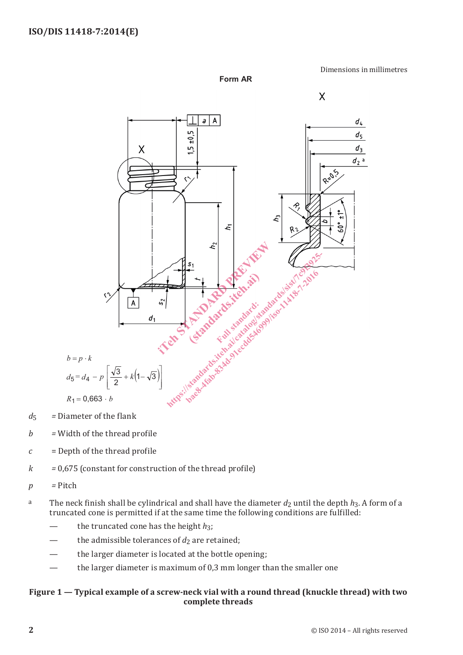Dimensions in millimetres







- $d_5$  = Diameter of the flank
- *b =* Width of the thread profile
- *c* = Depth of the thread profile
- *k =* 0,675 (constant for construction of the thread profile)
- *p =* Pitch
- <sup>a</sup> The neck finish shall be cylindrical and shall have the diameter  $d_2$  until the depth  $h_3$ . A form of a truncated cone is permitted if at the same time the following conditions are fulfilled:
	- the truncated cone has the height *h*<sub>3</sub>;
	- the admissible tolerances of  $d_2$  are retained;
	- the larger diameter is located at the bottle opening;
	- the larger diameter is maximum of  $0.3$  mm longer than the smaller one

#### **Figure 1 — Typical example of a screw-neck vial with a round thread (knuckle thread) with two complete threads**